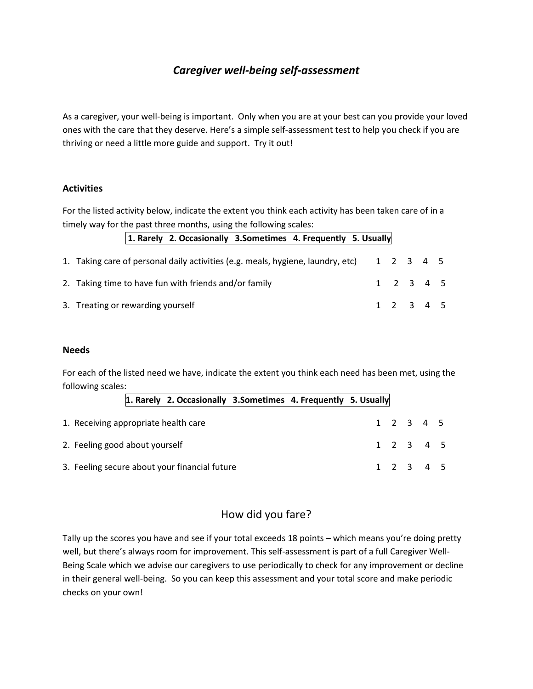## *Caregiver well-being self-assessment*

As a caregiver, your well-being is important. Only when you are at your best can you provide your loved ones with the care that they deserve. Here's a simple self-assessment test to help you check if you are thriving or need a little more guide and support. Try it out!

## **Activities**

For the listed activity below, indicate the extent you think each activity has been taken care of in a timely way for the past three months, using the following scales:

| 1. Rarely 2. Occasionally 3. Sometimes 4. Frequently 5. Usually                           |  |  |  |           |  |  |  |
|-------------------------------------------------------------------------------------------|--|--|--|-----------|--|--|--|
| 1. Taking care of personal daily activities (e.g. meals, hygiene, laundry, etc) 1 2 3 4 5 |  |  |  |           |  |  |  |
| 2. Taking time to have fun with friends and/or family                                     |  |  |  | 1 2 3 4 5 |  |  |  |
| 3. Treating or rewarding yourself                                                         |  |  |  | 1 2 3 4 5 |  |  |  |

## **Needs**

For each of the listed need we have, indicate the extent you think each need has been met, using the following scales:

| 1. Rarely 2. Occasionally 3. Sometimes 4. Frequently 5. Usually |  |  |                                     |  |
|-----------------------------------------------------------------|--|--|-------------------------------------|--|
| 1. Receiving appropriate health care                            |  |  | 1 2 3 4 5                           |  |
| 2. Feeling good about yourself                                  |  |  | 1 2 3 4 5                           |  |
| 3. Feeling secure about your financial future                   |  |  | $1 \quad 2 \quad 3 \quad 4 \quad 5$ |  |

## How did you fare?

Tally up the scores you have and see if your total exceeds 18 points – which means you're doing pretty well, but there's always room for improvement. This self-assessment is part of a full Caregiver Well-Being Scale which we advise our caregivers to use periodically to check for any improvement or decline in their general well-being. So you can keep this assessment and your total score and make periodic checks on your own!